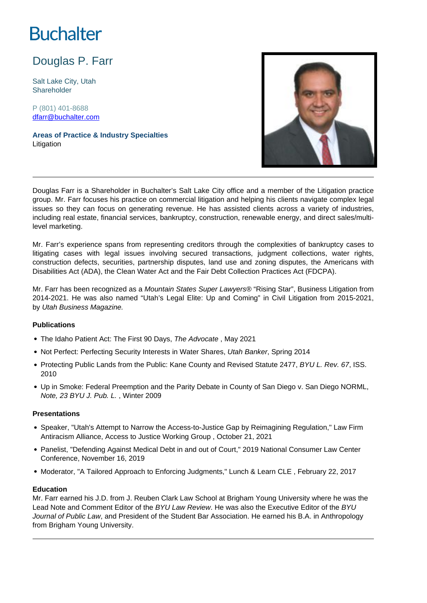# **Buchalter**

Douglas P. Farr

Salt Lake City, Utah Shareholder

P (801) 401-8688 dfarr@buchalter.com

**Areas of Practice & Industry Specialties** Litigation



Douglas Farr is a Shareholder in Buchalter's Salt Lake City office and a member of the Litigation practice group. Mr. Farr focuses his practice on commercial litigation and helping his clients navigate complex legal issues so they can focus on generating revenue. He has assisted clients across a variety of industries, including real estate, financial services, bankruptcy, construction, renewable energy, and direct sales/multilevel marketing.

Mr. Farr's experience spans from representing creditors through the complexities of bankruptcy cases to litigating cases with legal issues involving secured transactions, judgment collections, water rights, construction defects, securities, partnership disputes, land use and zoning disputes, the Americans with Disabilities Act (ADA), the Clean Water Act and the Fair Debt Collection Practices Act (FDCPA).

Mr. Farr has been recognized as a Mountain States Super Lawyers<sup>® "</sup>Rising Star", Business Litigation from 2014-2021. He was also named "Utah's Legal Elite: Up and Coming" in Civil Litigation from 2015-2021, by Utah Business Magazine.

### **Publications**

- The Idaho Patient Act: The First 90 Days, The Advocate, May 2021
- Not Perfect: Perfecting Security Interests in Water Shares, Utah Banker, Spring 2014
- Protecting Public Lands from the Public: Kane County and Revised Statute 2477, BYU L. Rev. 67, ISS. 2010
- Up in Smoke: Federal Preemption and the Parity Debate in County of San Diego v. San Diego NORML, Note, 23 BYU J. Pub. L. , Winter 2009

### **Presentations**

- Speaker, "Utah's Attempt to Narrow the Access-to-Justice Gap by Reimagining Regulation," Law Firm Antiracism Alliance, Access to Justice Working Group , October 21, 2021
- Panelist, "Defending Against Medical Debt in and out of Court," 2019 National Consumer Law Center Conference, November 16, 2019
- Moderator, "A Tailored Approach to Enforcing Judgments," Lunch & Learn CLE, February 22, 2017

### **Education**

Mr. Farr earned his J.D. from J. Reuben Clark Law School at Brigham Young University where he was the Lead Note and Comment Editor of the BYU Law Review. He was also the Executive Editor of the BYU Journal of Public Law, and President of the Student Bar Association. He earned his B.A. in Anthropology from Brigham Young University.